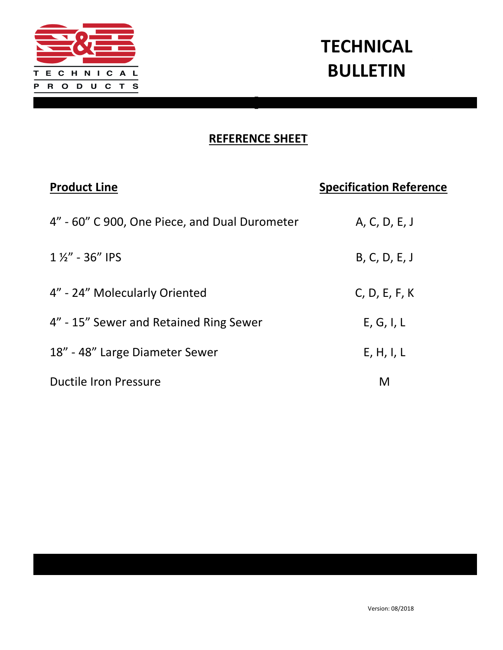

# **TECHNICAL** BULLETIN

### REFERENCE SHEET

| <b>Product Line</b>                           | <b>Specification Reference</b> |
|-----------------------------------------------|--------------------------------|
| 4" - 60" C 900, One Piece, and Dual Durometer | A, C, D, E, J                  |
| $1\frac{1}{2}$ - 36" IPS                      | B, C, D, E, J                  |
| 4" - 24" Molecularly Oriented                 | C, D, E, F, K                  |
| 4" - 15" Sewer and Retained Ring Sewer        | E, G, I, L                     |
| 18" - 48" Large Diameter Sewer                | E, H, I, L                     |
| Ductile Iron Pressure                         | M                              |